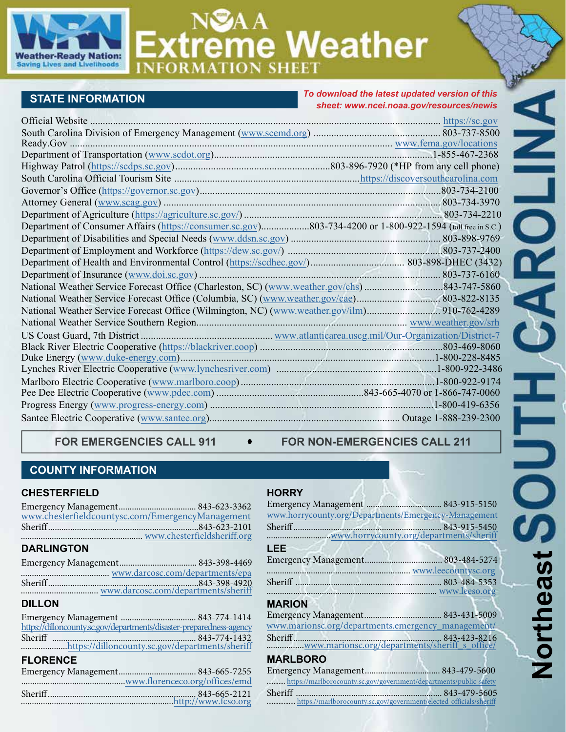

# **Extreme Weather**

# **STATE INFORMATION**

#### *To download the latest updated version of this sheet: [www.ncei.noaa.gov/resources/newis](https://www.ncei.noaa.gov/resources/newis)*

| <b>Official Website</b><br>https://sc.gov                                                                  |  |
|------------------------------------------------------------------------------------------------------------|--|
|                                                                                                            |  |
|                                                                                                            |  |
|                                                                                                            |  |
|                                                                                                            |  |
|                                                                                                            |  |
|                                                                                                            |  |
|                                                                                                            |  |
|                                                                                                            |  |
| Department of Consumer Affairs (https://consumer.sc.gov)803-734-4200 or 1-800-922-1594 (toll free in s.c.) |  |
|                                                                                                            |  |
|                                                                                                            |  |
|                                                                                                            |  |
|                                                                                                            |  |
| National Weather Service Forecast Office (Charleston, SC) (www.weather.gov/chs)843-747-5860                |  |
|                                                                                                            |  |
|                                                                                                            |  |
|                                                                                                            |  |
|                                                                                                            |  |
|                                                                                                            |  |
|                                                                                                            |  |
|                                                                                                            |  |
|                                                                                                            |  |
|                                                                                                            |  |
|                                                                                                            |  |
|                                                                                                            |  |
|                                                                                                            |  |

FOR EMERGENCIES CALL 911  $\bullet$  FOR NON-EMERGENCIES CALL 211

## **COUNTY INFORMATION**

#### **CHESTERFIELD**

| www.chesterfieldcountysc.com/EmergencyManagement |
|--------------------------------------------------|
|                                                  |
|                                                  |
|                                                  |

## **DARLINGTON**

#### **DILLON**

|  | https://dilloncounty.sc.gov/departments/disaster-preparedness-agency |
|--|----------------------------------------------------------------------|
|  |                                                                      |
|  | https://dilloncounty.sc.gov/departments/sheriff                      |
|  |                                                                      |

#### **FLORENCE**

#### **HORRY**

| www.horrycounty.org/Departments/Emergency-Management               |
|--------------------------------------------------------------------|
|                                                                    |
|                                                                    |
| <b>LEE</b>                                                         |
|                                                                    |
|                                                                    |
|                                                                    |
|                                                                    |
| <b>MARION</b>                                                      |
|                                                                    |
| www.marionsc.org/departments.emergency_management/                 |
|                                                                    |
| <b>MARLBORO</b>                                                    |
|                                                                    |
| https://marlborocounty.sc.gov/government/departments/public-safety |
| Sheriff<br>843-479-5605                                            |

Sheriff .................................................................. 843-479-5605 ................. [https://marlborocounty.sc.gov/government/elected-officials/sheriff](https://marlborocounty.sc.gov/government/elected-officials/sheriff/)